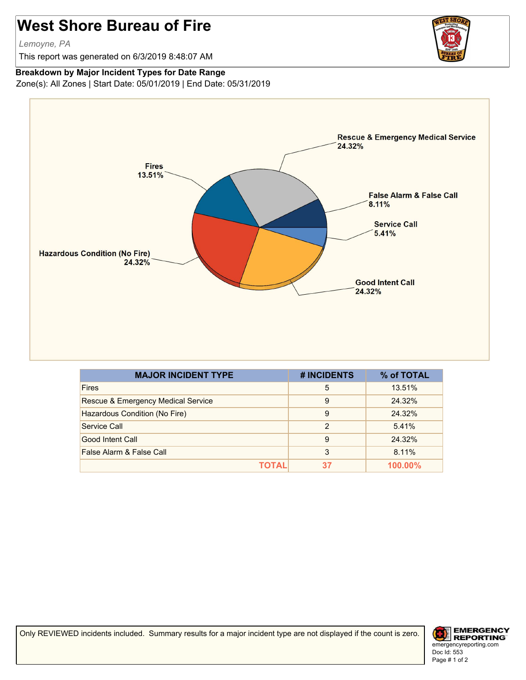## **West Shore Bureau of Fire**

*Lemoyne, PA*

This report was generated on 6/3/2019 8:48:07 AM



## **Breakdown by Major Incident Types for Date Range**

Zone(s): All Zones | Start Date: 05/01/2019 | End Date: 05/31/2019



| <b>MAJOR INCIDENT TYPE</b>         | # INCIDENTS | % of TOTAL |
|------------------------------------|-------------|------------|
| <b>Fires</b>                       | 5           | 13.51%     |
| Rescue & Emergency Medical Service | 9           | 24.32%     |
| Hazardous Condition (No Fire)      | 9           | 24.32%     |
| Service Call                       | 2           | 5.41%      |
| Good Intent Call                   | 9           | 24.32%     |
| False Alarm & False Call           | 3           | 8.11%      |
| ΤΟΤΑL                              | 37          | $100.00\%$ |

Only REVIEWED incidents included. Summary results for a major incident type are not displayed if the count is zero.